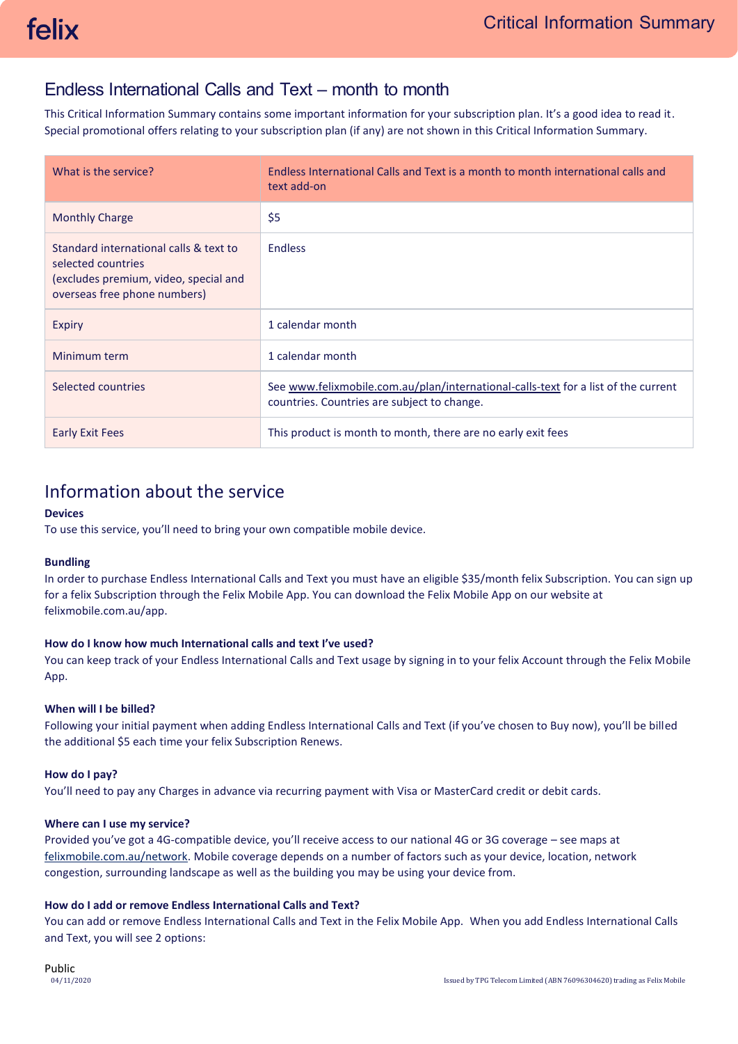## Endless International Calls and Text – month to month

This Critical Information Summary contains some important information for your subscription plan. It's a good idea to read it. Special promotional offers relating to your subscription plan (if any) are not shown in this Critical Information Summary.

| What is the service?                                                                                                                  | Endless International Calls and Text is a month to month international calls and<br>text add-on                                   |
|---------------------------------------------------------------------------------------------------------------------------------------|-----------------------------------------------------------------------------------------------------------------------------------|
| <b>Monthly Charge</b>                                                                                                                 | \$5                                                                                                                               |
| Standard international calls & text to<br>selected countries<br>(excludes premium, video, special and<br>overseas free phone numbers) | <b>Endless</b>                                                                                                                    |
| Expiry                                                                                                                                | 1 calendar month                                                                                                                  |
| Minimum term                                                                                                                          | 1 calendar month                                                                                                                  |
| Selected countries                                                                                                                    | See www.felixmobile.com.au/plan/international-calls-text for a list of the current<br>countries. Countries are subject to change. |
| <b>Early Exit Fees</b>                                                                                                                | This product is month to month, there are no early exit fees                                                                      |

# Information about the service

## **Devices**

To use this service, you'll need to bring your own compatible mobile device.

#### **Bundling**

In order to purchase Endless International Calls and Text you must have an eligible \$35/month felix Subscription. You can sign up for a felix Subscription through the Felix Mobile App. You can download the Felix Mobile App on our website at [felixmobile.com.au/app.](https://www.felixmobile.com.au/app)

## **How do I know how much International calls and text I've used?**

You can keep track of your Endless International Calls and Text usage by signing in to your felix Account through the Felix Mobile App.

## **When will I be billed?**

Following your initial payment when adding Endless International Calls and Text (if you've chosen to Buy now), you'll be billed the additional \$5 each time your felix Subscription Renews.

#### **How do I pay?**

You'll need to pay any Charges in advance via recurring payment with Visa or MasterCard credit or debit cards.

#### **Where can I use my service?**

Provided you've got a 4G-compatible device, you'll receive access to our national 4G or 3G coverage – see maps at [felixmobile.com.au/network.](https://www.felixmobile.com.au/network) Mobile coverage depends on a number of factors such as your device, location, network congestion, surrounding landscape as well as the building you may be using your device from.

### **How do I add or remove Endless International Calls and Text?**

You can add or remove Endless International Calls and Text in the Felix Mobile App. When you add Endless International Calls and Text, you will see 2 options: